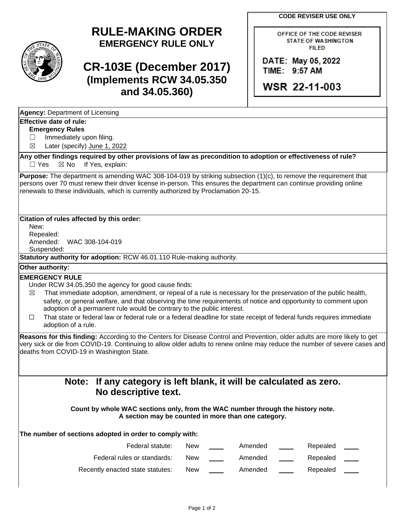**CODE REVISER USE ONLY**

# **RULE-MAKING ORDER EMERGENCY RULE ONLY**

# **CR-103E (December 2017) (Implements RCW 34.05.350 and 34.05.360)**

OFFICE OF THE CODE REVISER **STATE OF WASHINGTON FILED** 

DATE: May 05, 2022 TIME: 9:57 AM

WSR 22-11-003

|  | <b>Agency: Department of Licensing</b> |  |
|--|----------------------------------------|--|
|--|----------------------------------------|--|

### **Effective date of rule:**

#### **Emergency Rules**

□ Immediately upon filing.

☒ Later (specify) June 1, 2022

**Any other findings required by other provisions of law as precondition to adoption or effectiveness of rule?**  $\Box$  Yes  $\boxtimes$  No If Yes, explain:

**Purpose:** The department is amending WAC 308-104-019 by striking subsection (1)(c), to remove the requirement that persons over 70 must renew their driver license in-person. This ensures the department can continue providing online renewals to these individuals, which is currently authorized by Proclamation 20-15.

#### **Citation of rules affected by this order:**

New: Repealed: Amended: WAC 308-104-019 Suspended:

**Statutory authority for adoption:** RCW 46.01.110 Rule-making authority.

#### **Other authority:**

#### **EMERGENCY RULE**

Under RCW 34.05.350 the agency for good cause finds:

- $\boxtimes$  That immediate adoption, amendment, or repeal of a rule is necessary for the preservation of the public health, safety, or general welfare, and that observing the time requirements of notice and opportunity to comment upon adoption of a permanent rule would be contrary to the public interest.
- ☐ That state or federal law or federal rule or a federal deadline for state receipt of federal funds requires immediate adoption of a rule.

**Reasons for this finding:** According to the Centers for Disease Control and Prevention, older adults are more likely to get very sick or die from COVID-19. Continuing to allow older adults to renew online may reduce the number of severe cases and deaths from COVID-19 in Washington State.

## **Note: If any category is left blank, it will be calculated as zero. No descriptive text.**

**Count by whole WAC sections only, from the WAC number through the history note. A section may be counted in more than one category.**

### **The number of sections adopted in order to comply with:**

| Federal statute:                 | New | Amended | Repealed |  |
|----------------------------------|-----|---------|----------|--|
| Federal rules or standards:      | New | Amended | Repealed |  |
| Recently enacted state statutes: | New | Amended | Repealed |  |